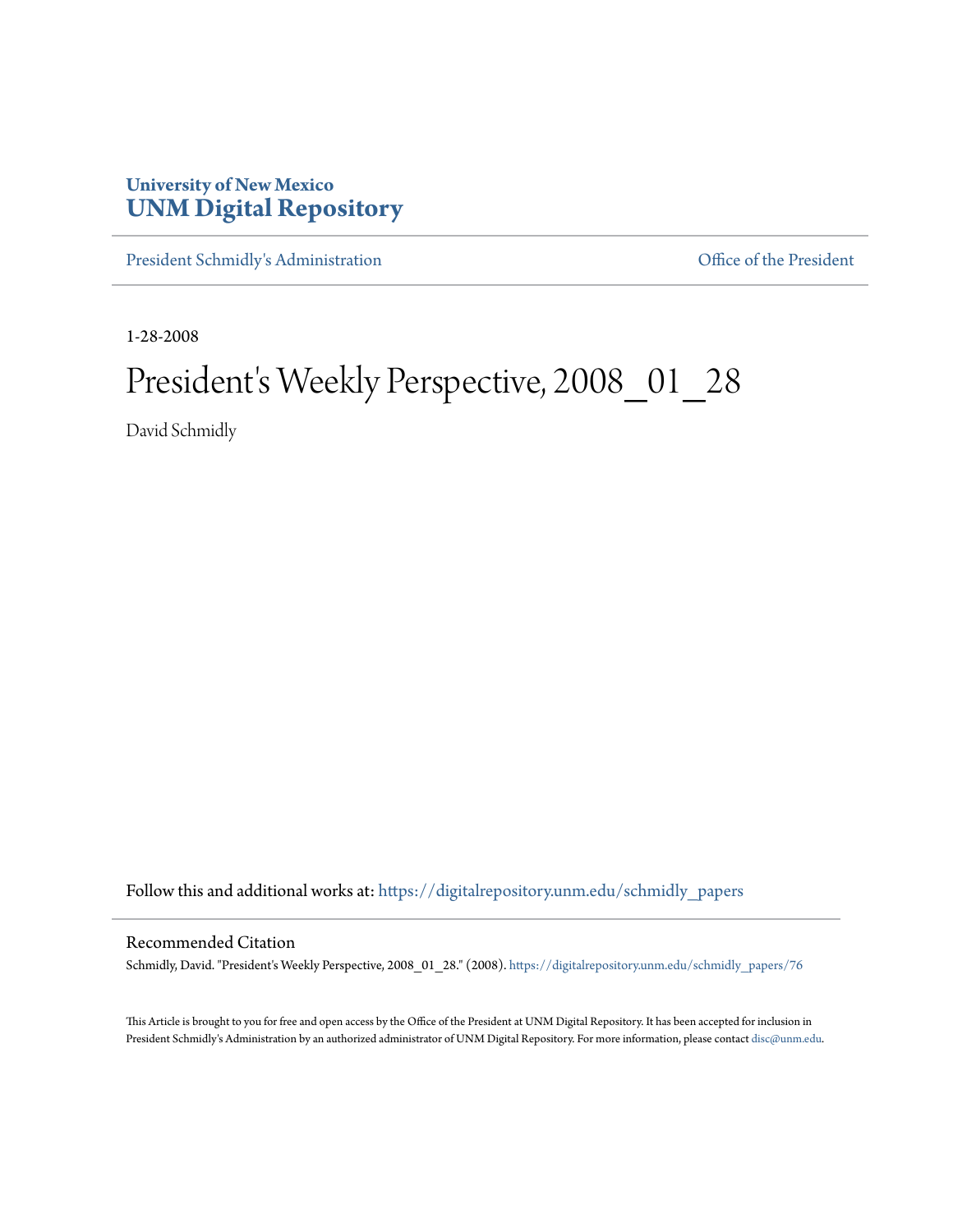## **University of New Mexico [UNM Digital Repository](https://digitalrepository.unm.edu?utm_source=digitalrepository.unm.edu%2Fschmidly_papers%2F76&utm_medium=PDF&utm_campaign=PDFCoverPages)**

[President Schmidly's Administration](https://digitalrepository.unm.edu/schmidly_papers?utm_source=digitalrepository.unm.edu%2Fschmidly_papers%2F76&utm_medium=PDF&utm_campaign=PDFCoverPages) [Office of the President](https://digitalrepository.unm.edu/ofc_president?utm_source=digitalrepository.unm.edu%2Fschmidly_papers%2F76&utm_medium=PDF&utm_campaign=PDFCoverPages)

1-28-2008

## President's Weekly Perspective, 2008\_01\_28

David Schmidly

Follow this and additional works at: [https://digitalrepository.unm.edu/schmidly\\_papers](https://digitalrepository.unm.edu/schmidly_papers?utm_source=digitalrepository.unm.edu%2Fschmidly_papers%2F76&utm_medium=PDF&utm_campaign=PDFCoverPages)

## Recommended Citation

Schmidly, David. "President's Weekly Perspective, 2008\_01\_28." (2008). [https://digitalrepository.unm.edu/schmidly\\_papers/76](https://digitalrepository.unm.edu/schmidly_papers/76?utm_source=digitalrepository.unm.edu%2Fschmidly_papers%2F76&utm_medium=PDF&utm_campaign=PDFCoverPages)

This Article is brought to you for free and open access by the Office of the President at UNM Digital Repository. It has been accepted for inclusion in President Schmidly's Administration by an authorized administrator of UNM Digital Repository. For more information, please contact [disc@unm.edu](mailto:disc@unm.edu).